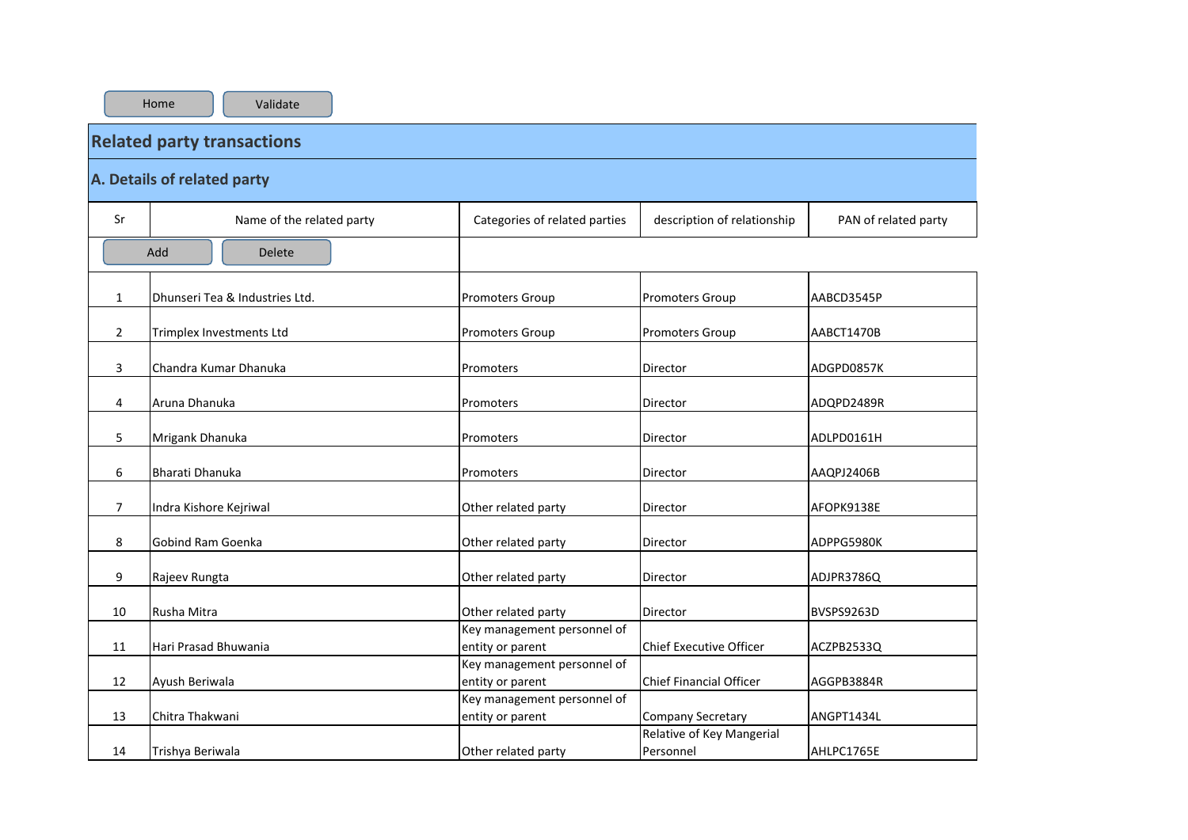|                | <b>Related party transactions</b> |                                                 |                                        |                      |  |  |  |  |  |  |  |
|----------------|-----------------------------------|-------------------------------------------------|----------------------------------------|----------------------|--|--|--|--|--|--|--|
|                | A. Details of related party       |                                                 |                                        |                      |  |  |  |  |  |  |  |
| Sr             | Name of the related party         | Categories of related parties                   | description of relationship            | PAN of related party |  |  |  |  |  |  |  |
|                | Add<br><b>Delete</b>              |                                                 |                                        |                      |  |  |  |  |  |  |  |
| 1              | Dhunseri Tea & Industries Ltd.    | <b>Promoters Group</b>                          | Promoters Group                        | AABCD3545P           |  |  |  |  |  |  |  |
| $\overline{2}$ | Trimplex Investments Ltd          | <b>Promoters Group</b>                          | <b>Promoters Group</b>                 | AABCT1470B           |  |  |  |  |  |  |  |
| 3              | Chandra Kumar Dhanuka             | Promoters                                       | Director                               | ADGPD0857K           |  |  |  |  |  |  |  |
| 4              | Aruna Dhanuka                     | Promoters                                       | Director                               | ADQPD2489R           |  |  |  |  |  |  |  |
| 5              | Mrigank Dhanuka                   | Promoters                                       | Director                               | ADLPD0161H           |  |  |  |  |  |  |  |
| 6              | Bharati Dhanuka                   | Promoters                                       | Director                               | AAQPJ2406B           |  |  |  |  |  |  |  |
| 7              | Indra Kishore Kejriwal            | Other related party                             | Director                               | AFOPK9138E           |  |  |  |  |  |  |  |
| 8              | Gobind Ram Goenka                 | Other related party                             | Director                               | ADPPG5980K           |  |  |  |  |  |  |  |
| 9              | Rajeev Rungta                     | Other related party                             | Director                               | ADJPR3786Q           |  |  |  |  |  |  |  |
| 10             | Rusha Mitra                       | Other related party                             | Director                               | BVSPS9263D           |  |  |  |  |  |  |  |
| 11             | Hari Prasad Bhuwania              | Key management personnel of<br>entity or parent | <b>Chief Executive Officer</b>         | ACZPB2533Q           |  |  |  |  |  |  |  |
| 12             | Ayush Beriwala                    | Key management personnel of<br>entity or parent | <b>Chief Financial Officer</b>         | AGGPB3884R           |  |  |  |  |  |  |  |
| 13             | Chitra Thakwani                   | Key management personnel of<br>entity or parent | <b>Company Secretary</b>               | ANGPT1434L           |  |  |  |  |  |  |  |
| 14             | Trishya Beriwala                  | Other related party                             | Relative of Key Mangerial<br>Personnel | AHLPC1765E           |  |  |  |  |  |  |  |

Home | Validate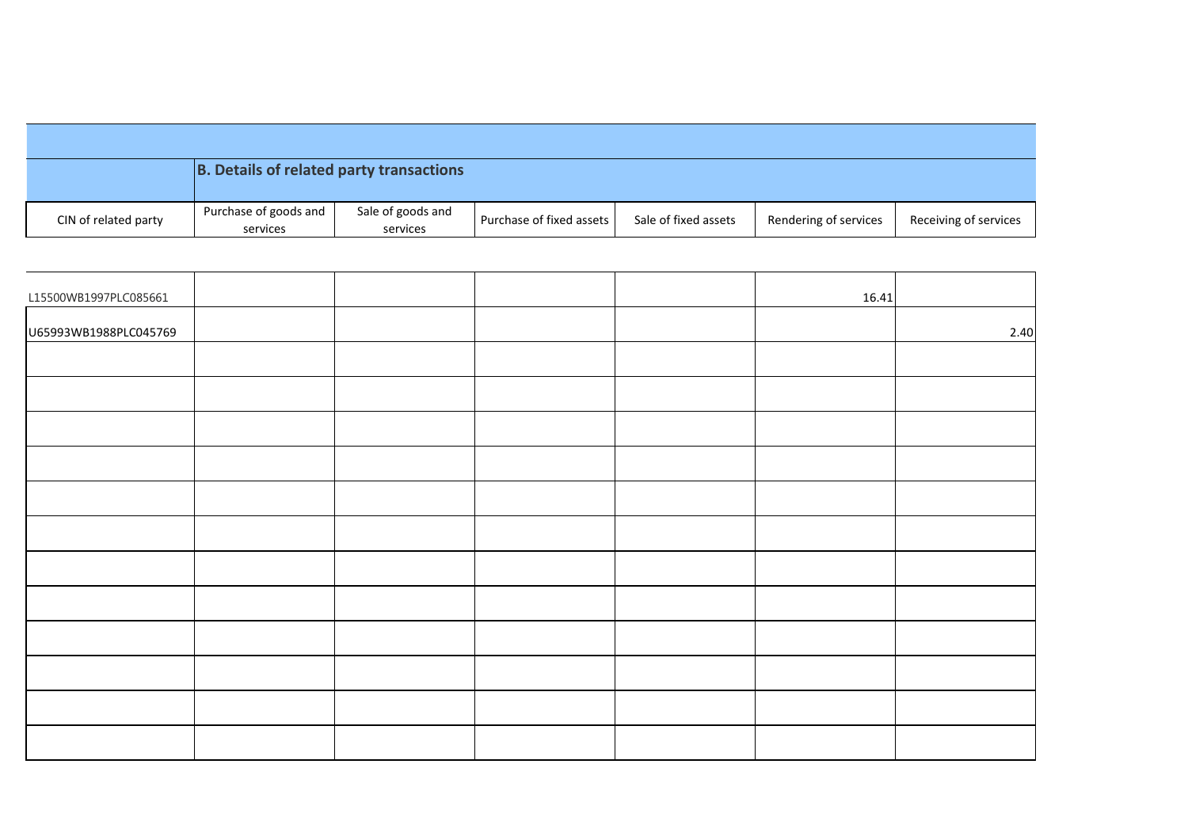|                      | B. Details of related party transactions |                               |                          |                      |                       |                       |
|----------------------|------------------------------------------|-------------------------------|--------------------------|----------------------|-----------------------|-----------------------|
| CIN of related party | Purchase of goods and<br>services        | Sale of goods and<br>services | Purchase of fixed assets | Sale of fixed assets | Rendering of services | Receiving of services |

| L15500WB1997PLC085661 |  |  | 16.41 |      |
|-----------------------|--|--|-------|------|
| U65993WB1988PLC045769 |  |  |       | 2.40 |
|                       |  |  |       |      |
|                       |  |  |       |      |
|                       |  |  |       |      |
|                       |  |  |       |      |
|                       |  |  |       |      |
|                       |  |  |       |      |
|                       |  |  |       |      |
|                       |  |  |       |      |
|                       |  |  |       |      |
|                       |  |  |       |      |
|                       |  |  |       |      |
|                       |  |  |       |      |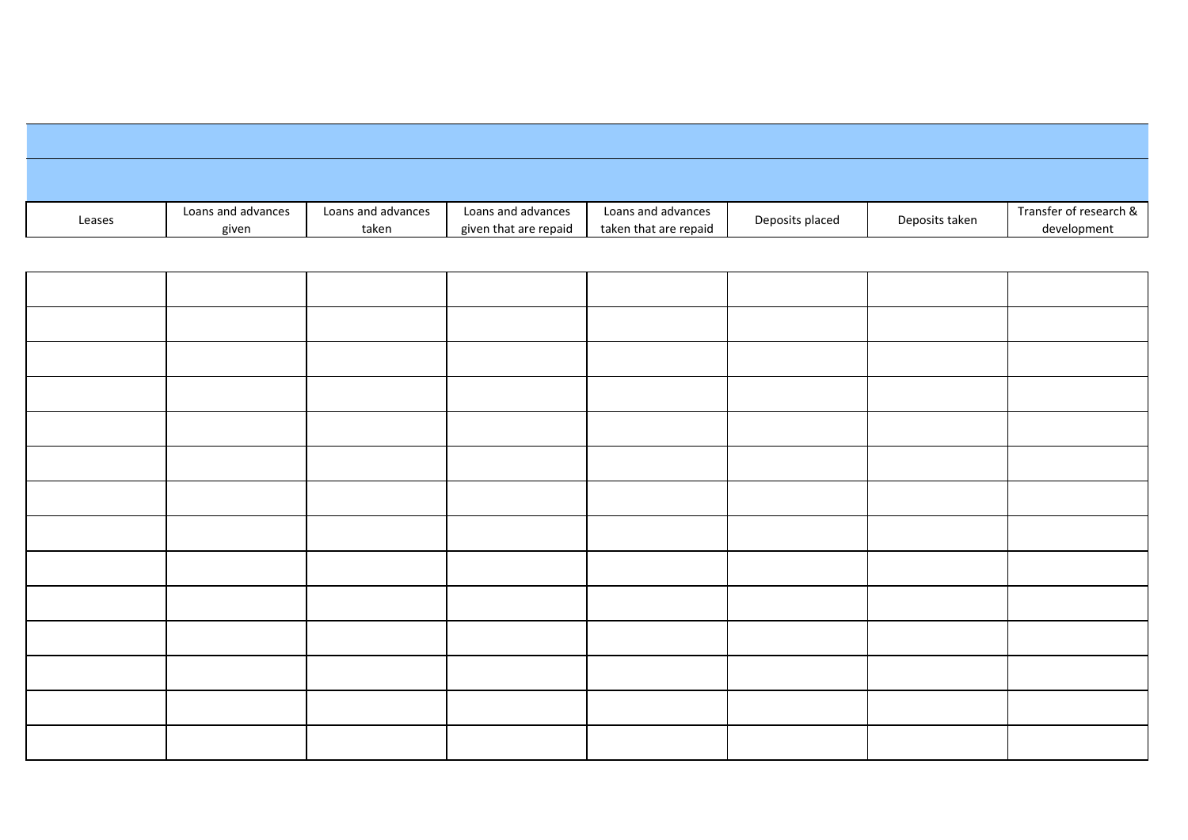| Leases | Loans and advances | Loans and advances | Loans and advances    | Loans and advances    | Deposits placed | Deposits taken | Transfer of research & |
|--------|--------------------|--------------------|-----------------------|-----------------------|-----------------|----------------|------------------------|
|        | given              | taken              | given that are repaid | taken that are repaid |                 |                | development            |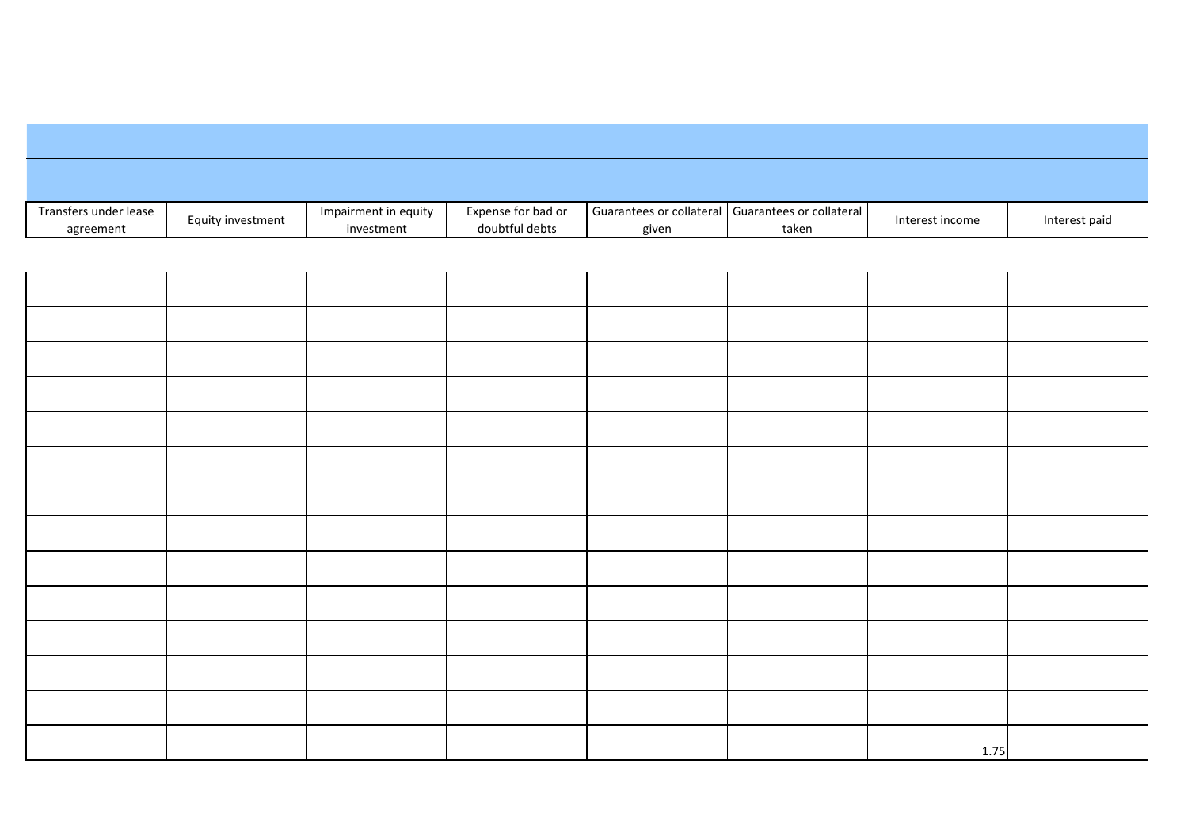| Transfers under lease |                   | Impairment in equity | Expense for bad or |       | Guarantees or collateral   Guarantees or collateral |                 |               |
|-----------------------|-------------------|----------------------|--------------------|-------|-----------------------------------------------------|-----------------|---------------|
| agreement             | Equity investment | investment           | doubtful debts     | given | taken                                               | Interest income | Interest paid |

|  |  |  | 1.75 |  |
|--|--|--|------|--|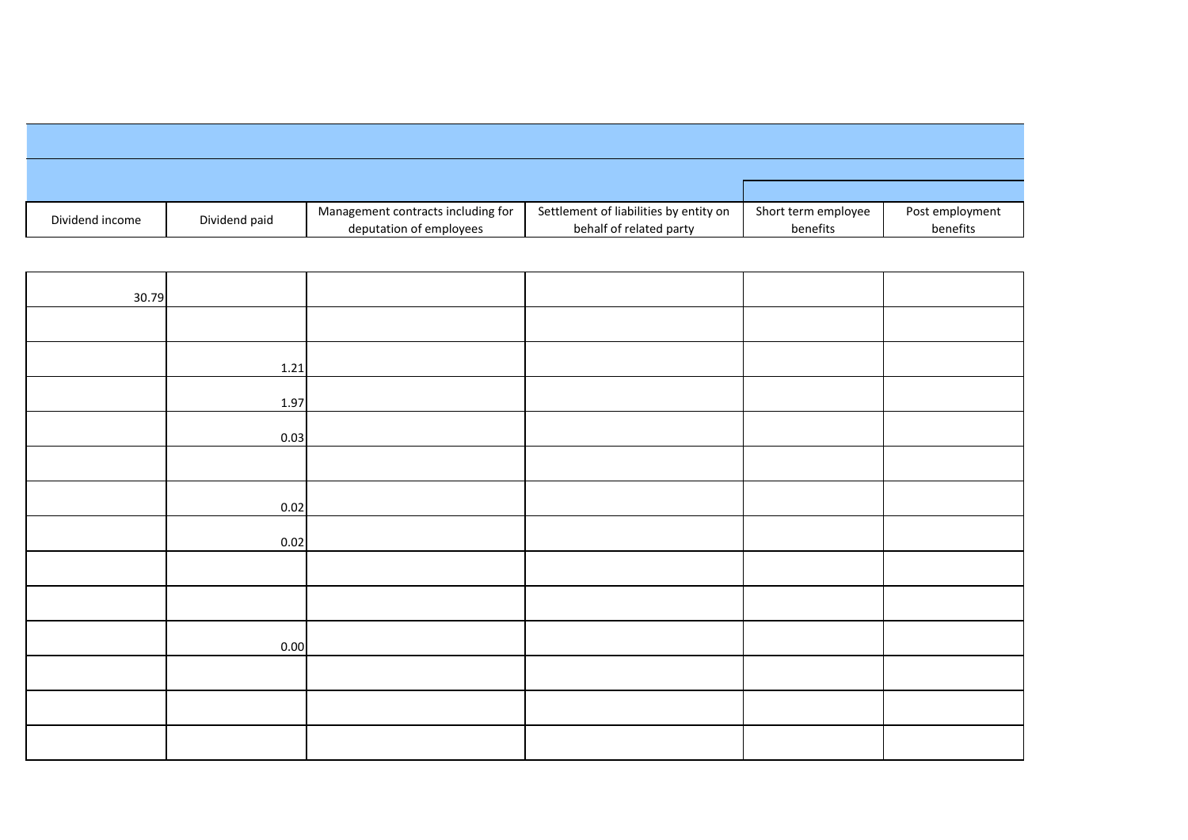| Dividend income | Dividend paid | Management contracts including for | Settlement of liabilities by entity on | Short term employee | Post employment |
|-----------------|---------------|------------------------------------|----------------------------------------|---------------------|-----------------|
|                 |               | deputation of employees            | behalf of related party                | benefits            | benefits        |

| 30.79 |      |  |  |
|-------|------|--|--|
|       |      |  |  |
|       | 1.21 |  |  |
|       | 1.97 |  |  |
|       | 0.03 |  |  |
|       |      |  |  |
|       | 0.02 |  |  |
|       | 0.02 |  |  |
|       |      |  |  |
|       |      |  |  |
|       | 0.00 |  |  |
|       |      |  |  |
|       |      |  |  |
|       |      |  |  |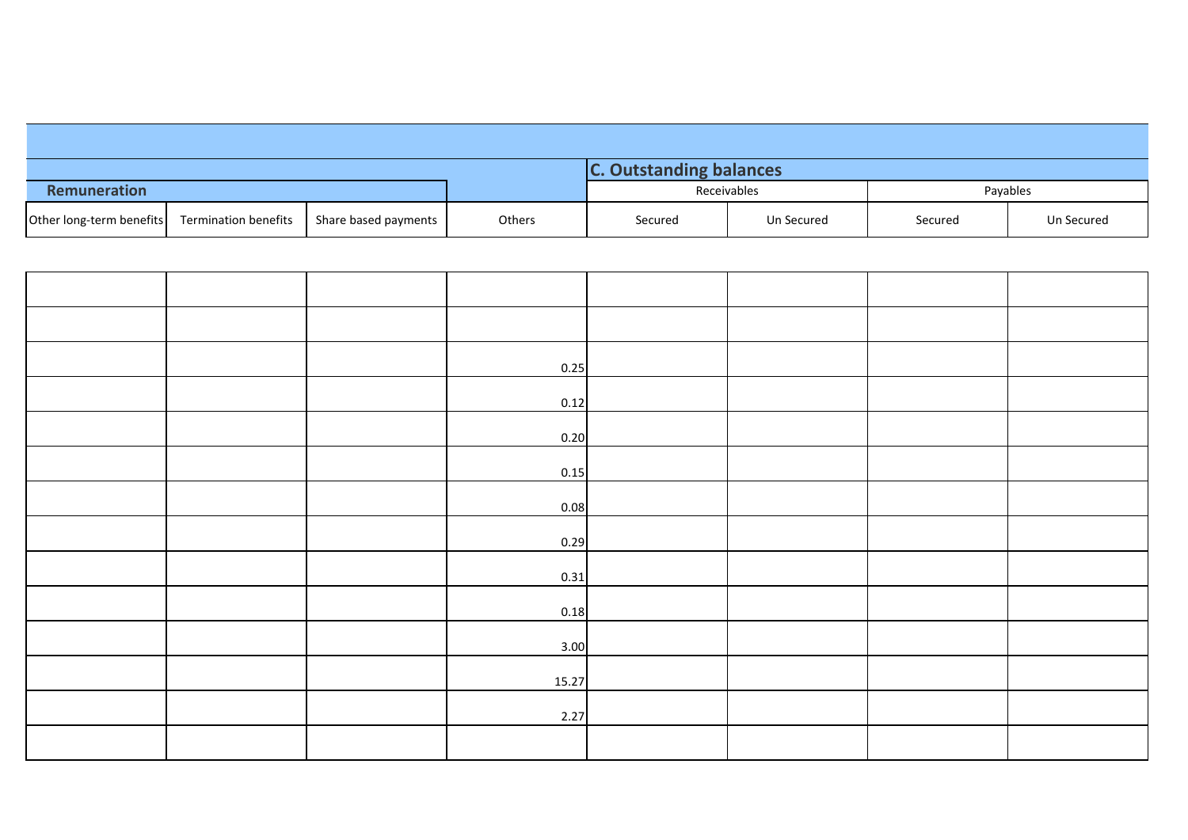| Remuneration             |                      |                      |        |         | Receivables | Payables |            |
|--------------------------|----------------------|----------------------|--------|---------|-------------|----------|------------|
| Other long-term benefits | Termination benefits | Share based payments | Others | Secured | Un Secured  | Secured  | Un Secured |

|  | 0.25  |  |  |
|--|-------|--|--|
|  | 0.12  |  |  |
|  | 0.20  |  |  |
|  | 0.15  |  |  |
|  | 0.08  |  |  |
|  | 0.29  |  |  |
|  | 0.31  |  |  |
|  | 0.18  |  |  |
|  | 3.00  |  |  |
|  | 15.27 |  |  |
|  | 2.27  |  |  |
|  |       |  |  |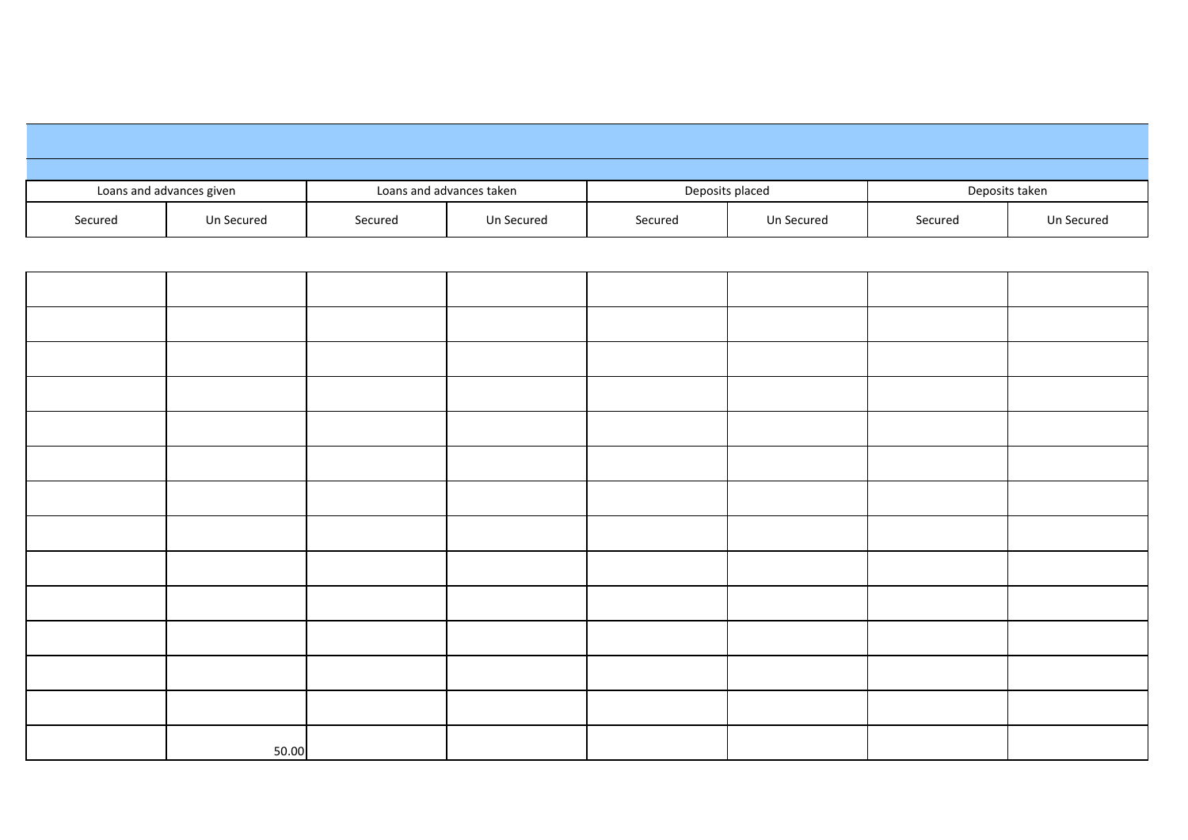| Loans and advances given |            |         | Loans and advances taken |         | Deposits placed |         | Deposits taken |
|--------------------------|------------|---------|--------------------------|---------|-----------------|---------|----------------|
| Secured                  | Un Secured | Secured | Un Secured               | Secured | Un Secured      | Secured | Un Secured     |

| 50.00 |  |  |  |
|-------|--|--|--|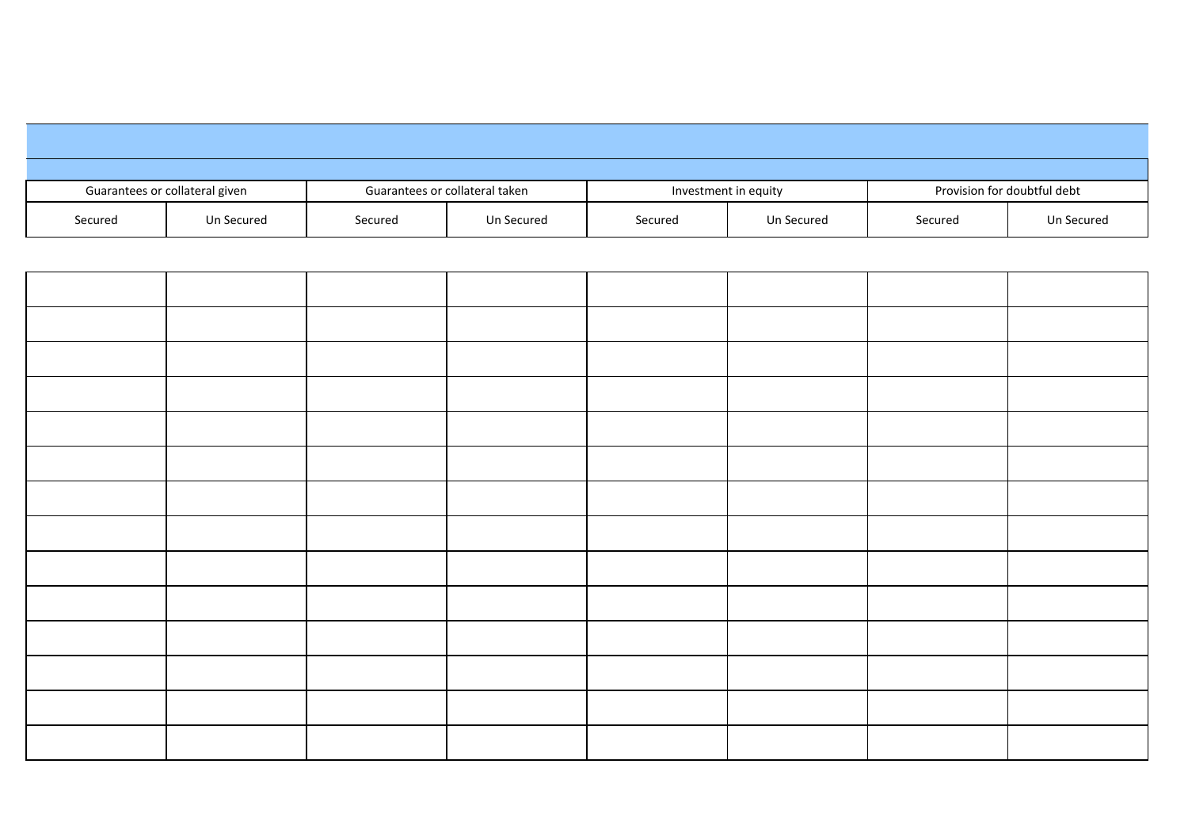| Guarantees or collateral given |            | Guarantees or collateral taken |            | Investment in equity |            | Provision for doubtful debt |            |
|--------------------------------|------------|--------------------------------|------------|----------------------|------------|-----------------------------|------------|
| Secured                        | Un Secured | Secured                        | Un Secured | Secured              | Un Secured | Secured                     | Un Secured |